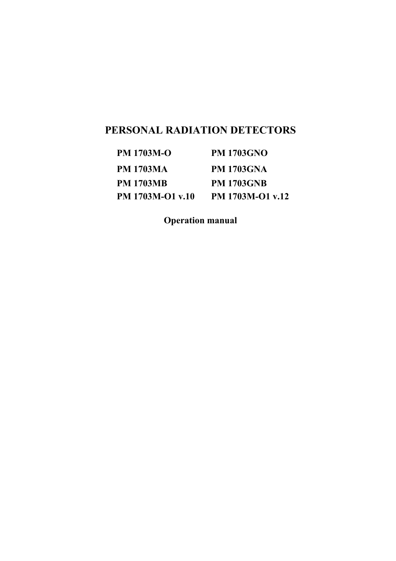# **PERSONAL RADIATION DETECTORS**

| <b>PM 1703M-O</b> | <b>PM 1703GNO</b> |
|-------------------|-------------------|
| <b>PM 1703MA</b>  | <b>PM 1703GNA</b> |
| <b>PM 1703MB</b>  | <b>PM 1703GNB</b> |
| PM 1703M-O1 v.10  | PM 1703M-O1 v.12  |

**Operation manual**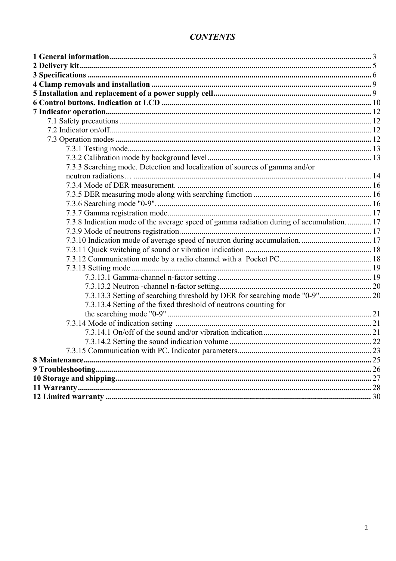# **CONTENTS**

| 7.3.3 Searching mode. Detection and localization of sources of gamma and/or             |  |
|-----------------------------------------------------------------------------------------|--|
|                                                                                         |  |
|                                                                                         |  |
|                                                                                         |  |
|                                                                                         |  |
|                                                                                         |  |
| 7.3.8 Indication mode of the average speed of gamma radiation during of accumulation 17 |  |
|                                                                                         |  |
|                                                                                         |  |
|                                                                                         |  |
|                                                                                         |  |
|                                                                                         |  |
|                                                                                         |  |
|                                                                                         |  |
| 7.3.13.3 Setting of searching threshold by DER for searching mode "0-9" 20              |  |
| 7.3.13.4 Setting of the fixed threshold of neutrons counting for                        |  |
|                                                                                         |  |
|                                                                                         |  |
|                                                                                         |  |
|                                                                                         |  |
|                                                                                         |  |
|                                                                                         |  |
|                                                                                         |  |
|                                                                                         |  |
|                                                                                         |  |
|                                                                                         |  |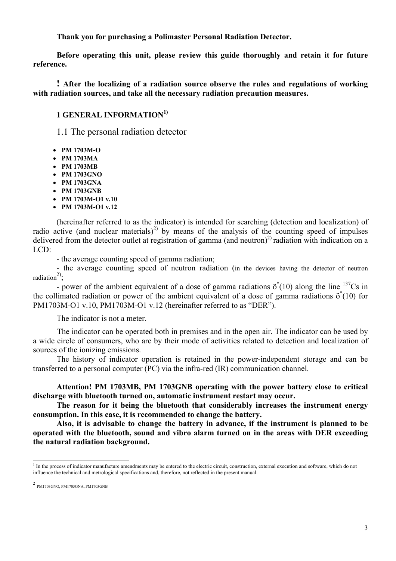**Thank you for purchasing a Polimaster Personal Radiation Detector.** 

**Before operating this unit, please review this guide thoroughly and retain it for future reference.** 

**! After the localizing of a radiation source observe the rules and regulations of working with radiation sources, and take all the necessary radiation precaution measures.**

# <span id="page-2-0"></span>**1 GENERAL INFORMATION[1\)](#page-2-1)**

1.1 The personal radiation detector

- **РМ 1703М-О**
- **РМ 1703МА**
- **РМ 1703МВ**
- **РМ 1703GNО**
- **РМ 1703GNА**
- **РМ 1703GNВ**
- **РМ 1703М-О1 v.10**
- **РМ 1703М-О1 v.12**

(hereinafter referred to as the indicator) is intended for searching (detection and localization) of radio active (and nuclear materials)<sup>[2\)](#page-2-2)</sup> by means of the analysis of the counting speed of impulses delivered from the detector outlet at registration of gamma (and neutron)<sup>2)</sup> radiation with indication on a LCD:

- the average counting speed of gamma radiation;

- the average counting speed of neutron radiation (in the devices having the detector of neutron radiation<sup>2)</sup>.

- power of the ambient equivalent of a dose of gamma radiations  $\ddot{\sigma}^*(10)$  along the line  $^{137}Cs$  in the collimated radiation or power of the ambient equivalent of a dose of gamma radiations  $\ddot{\sigma}^*(10)$  for РМ1703М-О1 v.10, РМ1703М-О1 v.12 (hereinafter referred to as "DER").

The indicator is not a meter.

The indicator can be operated both in premises and in the open air. The indicator can be used by a wide circle of consumers, who are by their mode of activities related to detection and localization of sources of the ionizing emissions.

The history of indicator operation is retained in the power-independent storage and can be transferred to a personal computer (PC) via the infra-red (IR) communication channel.

**Attention! РМ 1703МВ, РМ 1703GNB operating with the power battery close to critical discharge with bluetooth turned on, automatic instrument restart may occur.** 

**The reason for it being the bluetooth that considerably increases the instrument energy consumption. In this case, it is recommended to change the battery.** 

**Also, it is advisable to change the battery in advance, if the instrument is planned to be operated with the bluetooth, sound and vibro alarm turned on in the areas with DER exceeding the natural radiation background.** 

<span id="page-2-1"></span> $\frac{1}{1}$  $<sup>1</sup>$  In the process of indicator manufacture amendments may be entered to the electric circuit, construction, external execution and software, which do not</sup> influence the technical and metrological specifications and, therefore, not reflected in the present manual.

<span id="page-2-2"></span><sup>2</sup> РМ1703GNO, РМ1703GNA, РМ1703GNB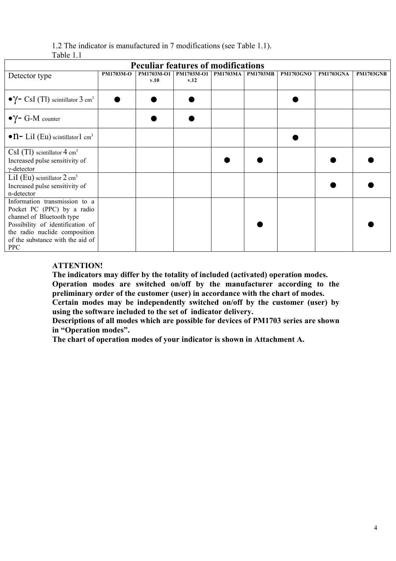| 1.2 The indicator is manufactured in 7 modifications (see Table 1.1). |  |
|-----------------------------------------------------------------------|--|
| Table 1.1                                                             |  |

| <b>Peculiar features of modifications</b>                                                                                                                                                                       |                  |                    |                           |                            |  |                  |                  |                  |
|-----------------------------------------------------------------------------------------------------------------------------------------------------------------------------------------------------------------|------------------|--------------------|---------------------------|----------------------------|--|------------------|------------------|------------------|
| Detector type                                                                                                                                                                                                   | <b>PM1703M-O</b> | PM1703M-O1<br>v.10 | <b>PM1703M-O1</b><br>v.12 | <b>PM1703MA   PM1703MB</b> |  | <b>PM1703GNO</b> | <b>PM1703GNA</b> | <b>PM1703GNB</b> |
| $\bullet$ Y – CsI (Tl) scintillator 3 cm <sup>3</sup>                                                                                                                                                           |                  |                    |                           |                            |  |                  |                  |                  |
| $\bullet$ $\gamma$ – G-M counter                                                                                                                                                                                |                  |                    |                           |                            |  |                  |                  |                  |
| $\bullet$ n- LiI (Eu) scintillator1 cm <sup>3</sup>                                                                                                                                                             |                  |                    |                           |                            |  |                  |                  |                  |
| $CsI$ (Tl) scintillator $4 \text{ cm}^3$<br>Increased pulse sensitivity of<br>$\gamma$ -detector                                                                                                                |                  |                    |                           |                            |  |                  |                  |                  |
| LiI (Eu) scintillator $2 \text{ cm}^3$<br>Increased pulse sensitivity of<br>n-detector                                                                                                                          |                  |                    |                           |                            |  |                  |                  |                  |
| Information transmission to a<br>Pocket PC (PPC) by a radio<br>channel of Bluetooth type<br>Possibility of identification of<br>the radio nuclide composition<br>of the substance with the aid of<br><b>PPC</b> |                  |                    |                           |                            |  |                  |                  |                  |

# **ATTENTION!**

**The indicators may differ by the totality of included (activated) operation modes. Operation modes are switched on/off by the manufacturer according to the preliminary order of the customer (user) in accordance with the chart of modes. Certain modes may be independently switched on/off by the customer (user) by using the software included to the set of indicator delivery.** 

**Descriptions of all modes which are possible for devices of РМ1703 series are shown in "Operation modes".** 

**The chart of operation modes of your indicator is shown in Attachment А.**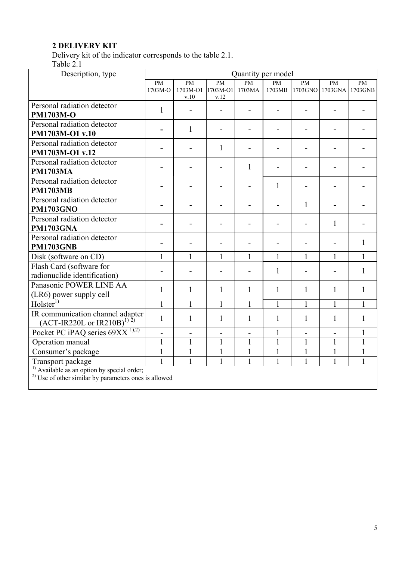# <span id="page-4-0"></span>**2 DELIVERY KIT**

Delivery kit of the indicator corresponds to the table 2.1.

Table 2.1

| Description, type                                                                                                    |               |                       |                              | Quantity per model       |              |                            |                          |               |
|----------------------------------------------------------------------------------------------------------------------|---------------|-----------------------|------------------------------|--------------------------|--------------|----------------------------|--------------------------|---------------|
|                                                                                                                      | PM<br>1703M-O | <b>PM</b><br>1703M-O1 | PM<br>1703M-O1               | PM<br>1703MA             | PM<br>1703MB | $\overline{PM}$<br>1703GNO | PM<br>1703GNA            | PM<br>1703GNB |
|                                                                                                                      |               | v.10                  | v.12                         |                          |              |                            |                          |               |
| Personal radiation detector                                                                                          | $\mathbf{1}$  |                       |                              |                          |              |                            |                          |               |
| <b>PM1703M-O</b>                                                                                                     |               |                       |                              |                          |              |                            |                          |               |
| Personal radiation detector                                                                                          |               | $\mathbf{1}$          |                              |                          |              |                            |                          |               |
| PM1703M-O1 v.10<br>Personal radiation detector                                                                       |               |                       |                              |                          |              |                            |                          |               |
| PM1703M-O1 v.12                                                                                                      |               |                       | $\mathbf{1}$                 |                          |              |                            |                          |               |
| Personal radiation detector                                                                                          |               |                       |                              |                          |              |                            |                          |               |
| <b>PM1703MA</b>                                                                                                      |               |                       |                              | $\mathbf{1}$             |              |                            |                          |               |
| Personal radiation detector                                                                                          |               |                       |                              |                          |              |                            |                          |               |
| <b>PM1703MB</b>                                                                                                      |               |                       |                              | $\overline{\phantom{0}}$ | 1            |                            |                          |               |
| Personal radiation detector                                                                                          |               |                       |                              |                          |              | $\mathbf{1}$               |                          |               |
| <b>PM1703GNO</b>                                                                                                     |               |                       |                              |                          |              |                            |                          |               |
| Personal radiation detector                                                                                          |               |                       |                              |                          |              |                            | 1                        |               |
| <b>PM1703GNA</b>                                                                                                     |               |                       |                              |                          |              |                            |                          |               |
| Personal radiation detector                                                                                          |               |                       |                              |                          |              |                            |                          | 1             |
| <b>PM1703GNB</b>                                                                                                     |               |                       |                              |                          |              |                            |                          |               |
| Disk (software on CD)                                                                                                | 1             |                       | 1                            | 1                        | $\mathbf{1}$ | $\mathbf{1}$               | 1                        | $\mathbf{1}$  |
| Flash Card (software for                                                                                             |               |                       |                              |                          | $\mathbf{1}$ |                            |                          | $\mathbf{1}$  |
| radionuclide identification)                                                                                         |               |                       |                              |                          |              |                            |                          |               |
| Panasonic POWER LINE AA                                                                                              | $\mathbf{1}$  | $\mathbf{1}$          | $\mathbf{1}$                 | $\mathbf{1}$             | $\mathbf{1}$ | $\mathbf{1}$               | $\mathbf{1}$             | $\mathbf{1}$  |
| (LR6) power supply cell                                                                                              |               |                       |                              |                          |              |                            |                          |               |
| Holster <sup>1</sup>                                                                                                 | $\mathbf{1}$  | $\mathbf{1}$          | $\mathbf{1}$                 | $\mathbf{1}$             | $\mathbf{1}$ | $\mathbf{1}$               | $\mathbf{1}$             | $\mathbf{1}$  |
| IR communication channel adapter<br>$(ACT-IR220L or IR210B)^{1/2})$                                                  | $\mathbf{1}$  | 1                     | 1                            | $\mathbf{1}$             | 1            | $\mathbf{1}$               | 1                        | $\mathbf{1}$  |
| Pocket PC iPAQ series $69XX$ <sup>1),2)</sup>                                                                        | -             | $\blacksquare$        | $\qquad \qquad \blacksquare$ | $\blacksquare$           | $\mathbf{1}$ | $\blacksquare$             | $\overline{\phantom{0}}$ | $\mathbf{1}$  |
| Operation manual                                                                                                     | $\mathbf{1}$  | $\mathbf{1}$          | $\mathbf{1}$                 | 1                        | $\mathbf{1}$ | $\mathbf{1}$               | $\mathbf{1}$             | $\mathbf{1}$  |
| Consumer's package                                                                                                   | $\mathbf{1}$  | 1                     | $\mathbf{1}$                 | 1                        | $\mathbf{1}$ | $\mathbf{1}$               | 1                        | $\mathbf{1}$  |
| Transport package                                                                                                    | $\mathbf{1}$  | $\mathbf{1}$          | $\mathbf{1}$                 | $\mathbf{1}$             | $\mathbf{1}$ | $\mathbf{1}$               | $\mathbf{1}$             | $\mathbf{1}$  |
| $\frac{1}{2}$ Available as an option by special order;<br>$^{2)}$ Use of other similar by parameters ones is allowed |               |                       |                              |                          |              |                            |                          |               |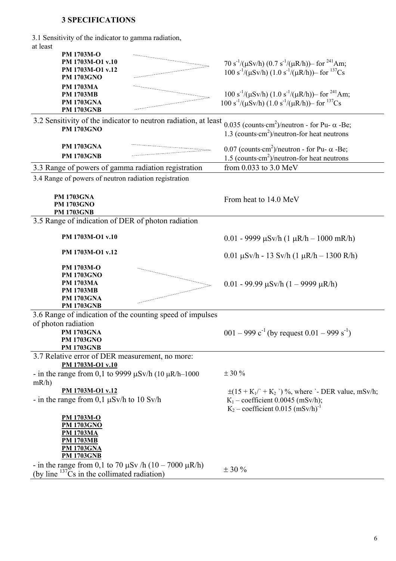# <span id="page-5-0"></span>**3 SPECIFICATIONS**

3.1 Sensitivity of the indicator to gamma radiation, at least

| ai ivasi                                                        |                                                                                               |
|-----------------------------------------------------------------|-----------------------------------------------------------------------------------------------|
| PM 1703M-O                                                      |                                                                                               |
| PM 1703M-O1 v.10                                                | 70 s <sup>-1</sup> /( $\mu$ Sv/h) (0.7 s <sup>-1</sup> /( $\mu$ R/h))– for <sup>241</sup> Am; |
| PM 1703M-O1 v.12                                                | $100 s^{-1}/(\mu Sv/h) (1.0 s^{-1}/(\mu R/h))$ for $^{137}Cs$                                 |
| <b>PM 1703GNO</b>                                               |                                                                                               |
| <b>PM 1703MA</b>                                                |                                                                                               |
| <b>PM 1703MB</b>                                                | $100 s^{-1}/(\mu Sv/h) (1.0 s^{-1}/(\mu R/h))$ for <sup>241</sup> Am;                         |
| <b>PM 1703GNA</b>                                               | $100 s^{-1}/(\mu Sv/h) (1.0 s^{-1}/(\mu R/h))$ for $^{137}Cs$                                 |
| <b>PM 1703GNB</b>                                               |                                                                                               |
| 3.2 Sensitivity of the indicator to neutron radiation, at least |                                                                                               |
| <b>PM 1703GNO</b>                                               | 0.035 (counts cm <sup>2</sup> )/neutron - for Pu- $\alpha$ -Be;                               |
|                                                                 | 1.3 (counts $\cdot$ cm <sup>2</sup> )/neutron-for heat neutrons                               |
| <b>PM 1703GNA</b>                                               |                                                                                               |
| <b>PM 1703GNB</b>                                               | 0.07 (counts cm <sup>2</sup> )/neutron - for Pu- $\alpha$ -Be;                                |
|                                                                 | 1.5 (counts cm <sup>2</sup> )/neutron-for heat neutrons                                       |
| 3.3 Range of powers of gamma radiation registration             | from 0.033 to 3.0 MeV                                                                         |
| 3.4 Range of powers of neutron radiation registration           |                                                                                               |
|                                                                 |                                                                                               |
| <b>PM 1703GNA</b>                                               |                                                                                               |
| <b>PM 1703GNO</b>                                               | From heat to 14.0 MeV                                                                         |
| <b>PM 1703GNB</b>                                               |                                                                                               |
| 3.5 Range of indication of DER of photon radiation              |                                                                                               |
|                                                                 |                                                                                               |
| PM 1703M-O1 v.10                                                | $0.01 - 9999 \mu Sv/h (1 \mu R/h - 1000 \mu R/h)$                                             |
|                                                                 |                                                                                               |
| PM 1703M-O1 v.12                                                |                                                                                               |
|                                                                 | $0.01 \mu Sv/h - 13 Sv/h (1 \mu R/h - 1300 R/h)$                                              |
| PM 1703M-O                                                      |                                                                                               |
| <b>PM 1703GNO</b>                                               |                                                                                               |
| <b>PM 1703MA</b>                                                | $0.01 - 99.99 \mu Sv/h (1 - 9999 \mu R/h)$                                                    |
| <b>PM 1703MB</b>                                                |                                                                                               |
| <b>PM 1703GNA</b>                                               |                                                                                               |
| <b>PM 1703GNB</b>                                               |                                                                                               |
| 3.6 Range of indication of the counting speed of impulses       |                                                                                               |
| of photon radiation                                             |                                                                                               |
| <b>PM 1703GNA</b>                                               | 001 – 999 $c^{-1}$ (by request 0.01 – 999 s <sup>-1</sup> )                                   |
| <b>PM 1703GNO</b>                                               |                                                                                               |
| <b>PM 1703GNB</b>                                               |                                                                                               |
| 3.7 Relative error of DER measurement, no more:                 |                                                                                               |
| PM 1703M-O1 v.10                                                |                                                                                               |
| - in the range from 0,1 to 9999 $\mu$ Sv/h (10 $\mu$ R/h–1000   | $\pm$ 30 %                                                                                    |
| mR/h                                                            |                                                                                               |
| PM 1703M-O1 v.12                                                | $\pm(15 + K_1)' + K_2'$ ) %, where '- DER value, mSv/h;                                       |
| - in the range from 0,1 $\mu$ Sv/h to 10 Sv/h                   | $K_1$ – coefficient 0.0045 (mSv/h);                                                           |
|                                                                 | $K_2$ – coefficient 0.015 (mSv/h) <sup>-1</sup>                                               |
|                                                                 |                                                                                               |
| <b>PM 1703M-O</b>                                               |                                                                                               |
| <b>PM 1703GNO</b>                                               |                                                                                               |
| <u>PM 1703MA</u>                                                |                                                                                               |
| <b>PM 1703MB</b><br><b>PM 1703GNA</b>                           |                                                                                               |
| <b>PM 1703GNB</b>                                               |                                                                                               |
|                                                                 |                                                                                               |
| - in the range from 0,1 to 70 $\mu$ Sv /h (10 – 7000 $\mu$ R/h) | $\pm$ 30 %                                                                                    |
| (by line $137\bar{C}s$ in the collimated radiation)             |                                                                                               |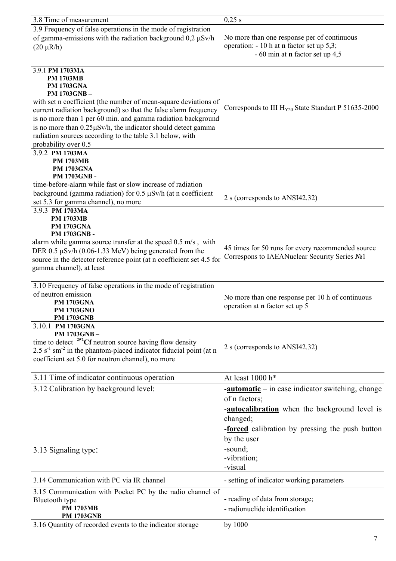| 3.8 Time of measurement                                                                     | 0,25 s                                                      |
|---------------------------------------------------------------------------------------------|-------------------------------------------------------------|
| 3.9 Frequency of false operations in the mode of registration                               |                                                             |
| of gamma-emissions with the radiation background $0.2 \mu Sv/h$                             | No more than one response per of continuous                 |
|                                                                                             | operation: - 10 h at n factor set up 5,3;                   |
| $(20 \mu R/h)$                                                                              | $-60$ min at <b>n</b> factor set up 4,5                     |
|                                                                                             |                                                             |
| 3.9.1 PM 1703MA                                                                             |                                                             |
| <b>PM 1703MB</b>                                                                            |                                                             |
| <b>PM 1703GNA</b>                                                                           |                                                             |
| PM 1703GNB-                                                                                 |                                                             |
| with set n coefficient (the number of mean-square deviations of                             |                                                             |
| current radiation background) so that the false alarm frequency                             | Corresponds to III $H_{Y20}$ State Standart P 51635-2000    |
| is no more than 1 per 60 min. and gamma radiation background                                |                                                             |
| is no more than 0.25µSv/h, the indicator should detect gamma                                |                                                             |
| radiation sources according to the table 3.1 below, with                                    |                                                             |
| probability over 0.5                                                                        |                                                             |
| 3.9.2 PM 1703MA                                                                             |                                                             |
| <b>PM 1703MB</b>                                                                            |                                                             |
| <b>PM 1703GNA</b>                                                                           |                                                             |
| PM 1703GNB-                                                                                 |                                                             |
| time-before-alarm while fast or slow increase of radiation                                  |                                                             |
| background (gamma radiation) for 0.5 µSv/h (at n coefficient                                | 2 s (corresponds to ANSI42.32)                              |
| set 5.3 for gamma channel), no more                                                         |                                                             |
| 3.9.3 PM 1703MA                                                                             |                                                             |
| <b>PM 1703MB</b><br><b>PM 1703GNA</b>                                                       |                                                             |
| <b>PM 1703GNB-</b>                                                                          |                                                             |
| alarm while gamma source transfer at the speed 0.5 m/s, with                                |                                                             |
| DER $0.5 \mu Sv/h$ (0.06-1.33 MeV) being generated from the                                 | 45 times for 50 runs for every recommended source           |
| source in the detector reference point (at n coefficient set 4.5 for                        | Correspons to IAEANuclear Security Series №1                |
| gamma channel), at least                                                                    |                                                             |
|                                                                                             |                                                             |
| 3.10 Frequency of false operations in the mode of registration                              |                                                             |
| of neutron emission                                                                         |                                                             |
| <b>PM 1703GNA</b>                                                                           | No more than one response per 10 h of continuous            |
| PM 1703GNO                                                                                  | operation at <b>n</b> factor set up 5                       |
| <b>PM 1703GNB</b>                                                                           |                                                             |
| 3.10.1 PM 1703GNA                                                                           |                                                             |
| PM 1703GNB-                                                                                 |                                                             |
| time to detect $^{252}$ Cf neutron source having flow density                               | 2 s (corresponds to ANSI42.32)                              |
| $2.5$ s <sup>-1</sup> sm <sup>-2</sup> in the phantom-placed indicator fiducial point (at n |                                                             |
| coefficient set 5.0 for neutron channel), no more                                           |                                                             |
|                                                                                             |                                                             |
| 3.11 Time of indicator continuous operation                                                 | At least 1000 h*                                            |
| 3.12 Calibration by background level:                                                       | $\frac{-autionatic}{-}$ in case indicator switching, change |
|                                                                                             | of n factors;                                               |
|                                                                                             | <b>-autocalibration</b> when the background level is        |
|                                                                                             | changed;                                                    |
|                                                                                             |                                                             |
|                                                                                             | <b>-forced</b> calibration by pressing the push button      |
|                                                                                             | by the user                                                 |
| 3.13 Signaling type:                                                                        | -sound;                                                     |
|                                                                                             | -vibration;                                                 |
|                                                                                             | -visual                                                     |
| 3.14 Communication with PC via IR channel                                                   | - setting of indicator working parameters                   |
| 3.15 Communication with Pocket PC by the radio channel of                                   |                                                             |
| Bluetooth type                                                                              | - reading of data from storage;                             |
| <b>PM 1703MB</b>                                                                            | - radionuclide identification                               |
| <b>PM 1703GNB</b>                                                                           |                                                             |
| 3.16 Quantity of recorded events to the indicator storage                                   | by 1000                                                     |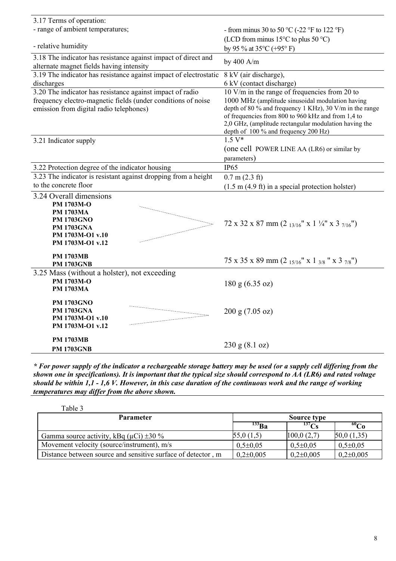| 3.17 Terms of operation:                                                                                   |                                                                                                                                                     |
|------------------------------------------------------------------------------------------------------------|-----------------------------------------------------------------------------------------------------------------------------------------------------|
| - range of ambient temperatures;                                                                           | - from minus 30 to 50 °C (-22 °F to 122 °F)                                                                                                         |
|                                                                                                            | (LCD from minus $15^{\circ}$ C to plus 50 $^{\circ}$ C)                                                                                             |
| - relative humidity                                                                                        | by 95 % at $35^{\circ}$ C (+95° F)                                                                                                                  |
| 3.18 The indicator has resistance against impact of direct and<br>alternate magnet fields having intensity | by 400 A/m                                                                                                                                          |
| 3.19 The indicator has resistance against impact of electrostatic                                          | 8 kV (air discharge),                                                                                                                               |
| discharges                                                                                                 | 6 kV (contact discharge)                                                                                                                            |
| 3.20 The indicator has resistance against impact of radio                                                  | 10 V/m in the range of frequencies from 20 to                                                                                                       |
| frequency electro-magnetic fields (under conditions of noise<br>emission from digital radio telephones)    | 1000 MHz (amplitude sinusoidal modulation having<br>depth of 80 % and frequency 1 KHz), 30 V/m in the range                                         |
|                                                                                                            | of frequencies from 800 to 960 kHz and from 1,4 to<br>2,0 GHz, (amplitude rectangular modulation having the<br>depth of 100 % and frequency 200 Hz) |
| 3.21 Indicator supply                                                                                      | $1.5 V*$                                                                                                                                            |
|                                                                                                            | (one cell POWER LINE AA (LR6) or similar by                                                                                                         |
|                                                                                                            | parameters)                                                                                                                                         |
| 3.22 Protection degree of the indicator housing                                                            | IP <sub>65</sub>                                                                                                                                    |
| 3.23 The indicator is resistant against dropping from a height                                             | $0.7$ m $(2.3$ ft)                                                                                                                                  |
| to the concrete floor                                                                                      | $(1.5 \text{ m } (4.9 \text{ ft}) \text{ in a special protection holster})$                                                                         |
| 3.24 Overall dimensions                                                                                    |                                                                                                                                                     |
| PM 1703M-O                                                                                                 |                                                                                                                                                     |
| <b>PM 1703MA</b>                                                                                           |                                                                                                                                                     |
| <b>PM 1703GNO</b>                                                                                          | 72 x 32 x 87 mm (2 $_{13/16}$ " x 1 $\frac{1}{4}$ " x 3 $_{7/16}$ ")                                                                                |
| <b>PM 1703GNA</b>                                                                                          |                                                                                                                                                     |
| PM 1703M-O1 v.10<br>PM 1703M-O1 v.12                                                                       |                                                                                                                                                     |
|                                                                                                            |                                                                                                                                                     |
| <b>PM 1703MB</b><br><b>PM 1703GNB</b>                                                                      | 75 x 35 x 89 mm (2 $_{15/16}$ " x 1 $_{3/8}$ " x 3 $_{7/8}$ ")                                                                                      |
| 3.25 Mass (without a holster), not exceeding                                                               |                                                                                                                                                     |
| PM 1703M-O                                                                                                 | 180 g (6.35 oz)                                                                                                                                     |
| <b>PM 1703MA</b>                                                                                           |                                                                                                                                                     |
| <b>PM 1703GNO</b>                                                                                          |                                                                                                                                                     |
| <b>PM 1703GNA</b>                                                                                          | 200 g (7.05 oz)                                                                                                                                     |
| PM 1703M-O1 v.10                                                                                           |                                                                                                                                                     |
| PM 1703M-O1 v.12                                                                                           |                                                                                                                                                     |
| <b>PM 1703MB</b>                                                                                           |                                                                                                                                                     |
| <b>PM 1703GNB</b>                                                                                          | 230 g (8.1 oz)                                                                                                                                      |

*\* For power supply of the indicator a rechargeable storage battery may be used (or a supply cell differing from the shown one in specifications). It is important that the typical size should correspond to АА (LR6) and rated voltage should be within 1,1 - 1,6 V. However, in this case duration of the continuous work and the range of working temperatures may differ from the above shown.*

| Table 3                                                      |               |               |               |
|--------------------------------------------------------------|---------------|---------------|---------------|
| <b>Parameter</b>                                             |               | Source type   |               |
|                                                              | $133$ Ba      | $^{137}$ Cs   | $^{60}Co$     |
| Gamma source activity, kBq ( $\mu$ Ci) $\pm$ 30 %            | 55,0(1,5)     | 100,0(2,7)    | 50,0(1,35)    |
| Movement velocity (source/instrument), m/s                   | $0,5\pm0,05$  | $0,5\pm0,05$  | $0,5\pm0,05$  |
| Distance between source and sensitive surface of detector, m | $0,2\pm0,005$ | $0,2\pm0,005$ | $0,2\pm0,005$ |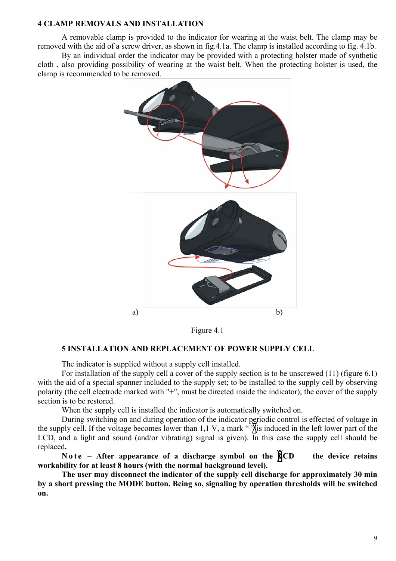#### <span id="page-8-0"></span>**4 CLAMP REMOVALS AND INSTALLATION**

A removable clamp is provided to the indicator for wearing at the waist belt. The clamp may be removed with the aid of a screw driver, as shown in fig.4.1a. The clamp is installed according to fig. 4.1b.

By an individual order the indicator may be provided with a protecting holster made of synthetic cloth , also providing possibility of wearing at the waist belt. When the protecting holster is used, the clamp is recommended to be removed.



Figure 4.1

### <span id="page-8-1"></span>**5 INSTALLATION AND REPLACEMENT OF POWER SUPPLY CELL**

The indicator is supplied without a supply cell installed.

For installation of the supply cell a cover of the supply section is to be unscrewed (11) (figure 6.1) with the aid of a special spanner included to the supply set; to be installed to the supply cell by observing polarity (the cell electrode marked with "+", must be directed inside the indicator); the cover of the supply section is to be restored.

When the supply cell is installed the indicator is automatically switched on.

During switching on and during operation of the indicator periodic control is effected of voltage in the supply cell. If the voltage becomes lower than 1,1 V, a mark " $\frac{1}{N}$  is induced in the left lower part of the LCD, and a light and sound (and/or vibrating) signal is given). In this case the supply cell should be replaced**.** 

**Note – After appearance of a discharge symbol on the**  $\angle$  **CD** the device retains **workability for at least 8 hours (with the normal background level).** 

**The user may disconnect the indicator of the supply cell discharge for approximately 30 min by a short pressing the MODE button. Being so, signaling by operation thresholds will be switched on.**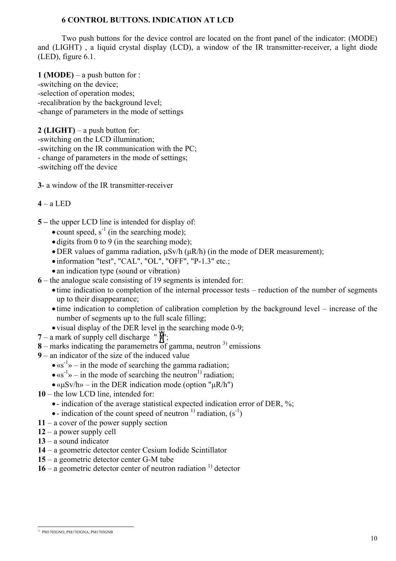# <span id="page-9-0"></span>**6 CONTROL BUTTONS. INDICATION AT LCD**

Two push buttons for the device control are located on the front panel of the indicator: (MODE) and (LIGHT) , a liquid crystal display (LCD), a window of the IR transmitter-receiver, a light diode (LED), figure 6.1.

**1 (MODE)** – a push button for : -switching on the device; -selection of operation modes; -recalibration by the background level; -change of parameters in the mode of settings

**2 (LIGHT)** – a push button for: -switching on the LCD illumination; -switching on the IR communication with the PC; - change of parameters in the mode of settings; -switching off the device

**3**- a window of the IR transmitter-receiver

#### **4** – a LED

- **5 –** the upper LCD line is intended for display of:
	- count speed,  $s^{-1}$  (in the searching mode);
	- digits from 0 to 9 (in the searching mode);
	- •DER values of gamma radiation, µSv/h (µR/h) (in the mode of DER measurement);
	- information "test", "CAL", "OL", "OFF", "Р-1.3" etc.;
	- an indication type (sound or vibration)
- **6** the analogue scale consisting of 19 segments is intended for:
	- time indication to completion of the internal processor tests reduction of the number of segments up to their disappearance;
	- time indication to completion of calibration completion by the background level increase of the number of segments up to the full scale filling;
	- visual display of the DER level in the searching mode 0-9;
- $7 a$  mark of supply cell discharge " $\overline{\mathbf{w}}$ ";
- $8$  marks indicating the paramemetrs of gamma, neutron  $3$  emissions
- **9** an indicator of the size of the induced value
	- $\bullet$  «s<sup>-1</sup>» in the mode of searching the gamma radiation;
	- $\bullet$  «s<sup>-1</sup>» in the mode of searching the neutron<sup>1)</sup> radiation;
	- $\bullet$  « $\mu$ Sv/h» in the DER indication mode (option " $\mu$ R/h")
- **10** the low LCD line, intended for:
	- indication of the average statistical expected indication error of DER, %;
	- indication of the count speed of neutron  $(1)$  radiation,  $(s^{-1})$
- **11** a cover of the power supply section
- **12** a power supply cell
- **13**  a sound indicator
- **14** a geometric detector center Cesium Iodide Scintillator
- **15** a geometric detector center G-M tube
- $16 a$  geometric detector center of neutron radiation<sup>1)</sup> detector

<span id="page-9-1"></span> <sup>1)</sup> РМ1703GNO, РМ1703GNA, РМ1703GNB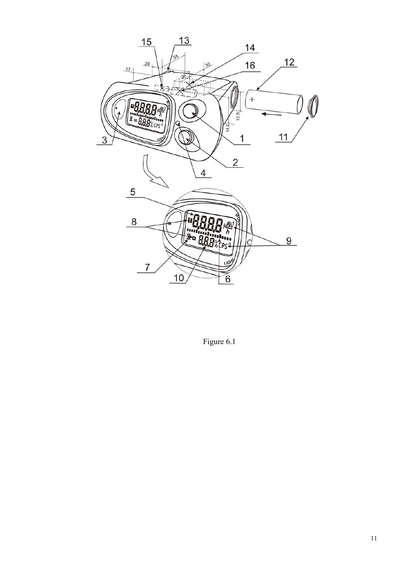

Figure 6.1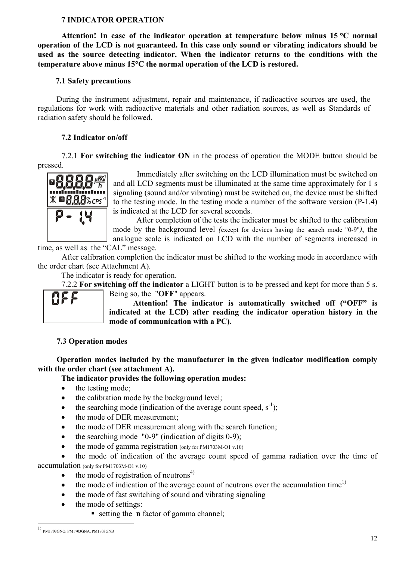# <span id="page-11-0"></span>**7 INDICATOR OPERATION**

**Attention! In case of the indicator operation at temperature below minus 15** °**С normal operation of the LCD is not guaranteed. In this case only sound or vibrating indicators should be used as the source detecting indicator. When the indicator returns to the conditions with the temperature above minus 15**°**С the normal operation of the LCD is restored.** 

### <span id="page-11-1"></span>**7.1 Safety precautions**

During the instrument adjustment, repair and maintenance, if radioactive sources are used, the regulations for work with radioactive materials and other radiation sources, as well as Standards of radiation safety should be followed.

## <span id="page-11-2"></span>**7.2 Indicator on/off**

7.2.1 **For switching the indicator ON** in the process of operation the MODE button should be pressed.



Immediately after switching on the LCD illumination must be switched on and all LCD segments must be illuminated at the same time approximately for 1 s signaling (sound and/or vibrating) must be switched on, the device must be shifted to the testing mode. In the testing mode a number of the software version (P-1.4) is indicated at the LCD for several seconds.

After completion of the tests the indicator must be shifted to the calibration mode by the background level *(*except for devices having the search mode "0-9"*)*, the analogue scale is indicated on LCD with the number of segments increased in

time, as well as the "САL" message.

After calibration completion the indicator must be shifted to the working mode in accordance with the order chart (see Attachment A).

The indicator is ready for operation.

7.2.2 **For switching off the indicator** a LIGHT button is to be pressed and kept for more than 5 s. Being so, the "**OFF**" appears.



**Attention! The indicator is automatically switched off ("OFF" is indicated at the LCD) after reading the indicator operation history in the mode of communication with a PC).** 

### <span id="page-11-3"></span>**7.3 Operation modes**

**Operation modes included by the manufacturer in the given indicator modification comply with the order chart (see attachment А).** 

### **The indicator provides the following operation modes:**

- the testing mode;
- the calibration mode by the background level:
- the searching mode (indication of the average count speed,  $s^{-1}$ );
- the mode of DER measurement:
- the mode of DER measurement along with the search function;
- the searching mode  $"0-9"$  (indication of digits  $(0-9)$ ;
- the mode of gamma registration (only for PM1703M-O1 v.10)

the mode of indication of the average count speed of gamma radiation over the time of accumulation (only for РМ1703М-О1 v.10)

- the mode of registration of neutrons $4$ )
- $\bullet$  the mode of indication of the average count of neutrons over the accumulation time<sup>1)</sup>
- the mode of fast switching of sound and vibrating signaling
- the mode of settings:
	- setting the **n** factor of gamma channel;

<span id="page-11-4"></span> <sup>1)</sup> РМ1703GNO, РМ1703GNA, РМ1703GNB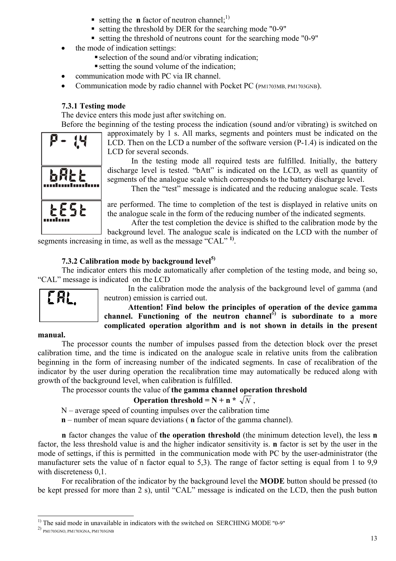- **setting the <b>n** factor of neutron channel;<sup>1)</sup>
- setting the threshold by DER for the searching mode "0-9"
- setting the threshold of neutrons count for the searching mode "0-9"
- the mode of indication settings:
	- selection of the sound and/or vibrating indication;
	- setting the sound volume of the indication;
- communication mode with PC via IR channel.
- Communication mode by radio channel with Pocket PC (РМ1703MB, РМ1703GNB).

# <span id="page-12-0"></span>**7.3.1 Testing mode**

The device enters this mode just after switching on.

Before the beginning of the testing process the indication (sound and/or vibrating) is switched on



approximately by 1 s. All marks, segments and pointers must be indicated on the LCD. Then on the LCD a number of the software version (P-1.4) is indicated on the LCD for several seconds.

In the testing mode all required tests are fulfilled. Initially, the battery discharge level is tested. "bAtt" is indicated on the LCD, as well as quantity of segments of the analogue scale which corresponds to the battery discharge level.

Then the "test" message is indicated and the reducing analogue scale. Tests

are performed. The time to completion of the test is displayed in relative units on the analogue scale in the form of the reducing number of the indicated segments.

After the test completion the device is shifted to the calibration mode by the background level. The analogue scale is indicated on the LCD with the number of

segments increasing in time, as well as the message "САL" **1)**.

# <span id="page-12-1"></span>**7.3.2 Calibration mode by background level[5\)](#page-12-2)**

The indicator enters this mode automatically after completion of the testing mode, and being so, "CAL" message is indicated on the LCD



In the calibration mode the analysis of the background level of gamma (and neutron) emission is carried out.

**Attention! Find below the principles of operation of the device gamma channel. Functioning of the neutron channel**[6](#page-12-3)**) is subordinate to a more complicated operation algorithm and is not shown in details in the present** 

### **manual.**

The processor counts the number of impulses passed from the detection block over the preset calibration time, and the time is indicated on the analogue scale in relative units from the calibration beginning in the form of increasing number of the indicated segments. In case of recalibration of the indicator by the user during operation the recalibration time may automatically be reduced along with growth of the background level, when calibration is fulfilled.

The processor counts the value of **the gamma channel operation threshold**

# **Operation threshold = N + n \***  $\sqrt{N}$ ,

 $N$  – average speed of counting impulses over the calibration time

**n** – number of mean square deviations ( **n** factor of the gamma channel).

**n** factor changes the value of **the operation threshold** (the minimum detection level), the less **n**  factor, the less threshold value is and the higher indicator sensitivity is. **n** factor is set by the user in the mode of settings, if this is permitted in the communication mode with PC by the user-administrator (the manufacturer sets the value of n factor equal to 5,3). The range of factor setting is equal from 1 to 9,9 with discreteness 0,1.

For recalibration of the indicator by the background level the **MODE** button should be pressed (to be kept pressed for more than 2 s), until "CAL" message is indicated on the LCD, then the push button

<span id="page-12-2"></span><sup>&</sup>lt;sup>1)</sup> The said mode in unavailable in indicators with the switched on SERCHING MODE "0-9"

<span id="page-12-3"></span><sup>2)</sup> РМ1703GNO, РМ1703GNA, РМ1703GNB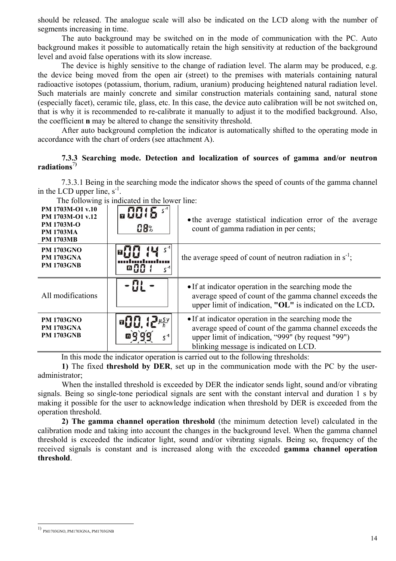should be released. The analogue scale will also be indicated on the LCD along with the number of segments increasing in time.

The auto background may be switched on in the mode of communication with the PC. Auto background makes it possible to automatically retain the high sensitivity at reduction of the background level and avoid false operations with its slow increase.

The device is highly sensitive to the change of radiation level. The alarm may be produced, e.g. the device being moved from the open air (street) to the premises with materials containing natural radioactive isotopes (potassium, thorium, radium, uranium) producing heightened natural radiation level. Such materials are mainly concrete and similar construction materials containing sand, natural stone (especially facet), ceramic tile, glass, etc. In this case, the device auto calibration will be not switched on, that is why it is recommended to re-calibrate it manually to adjust it to the modified background. Also, the coefficient **n** may be altered to change the sensitivity threshold.

After auto background completion the indicator is automatically shifted to the operating mode in accordance with the chart of orders (see attachment А).

## <span id="page-13-0"></span>**7.3.3 Searching mode. Detection and localization of sources of gamma and/or neutron radiations**[7](#page-13-1)**)**

7.3.3.1 Being in the searching mode the indicator shows the speed of counts of the gamma channel in the LCD upper line,  $s^{-1}$ .

|                                                                                                   | THE TOHOWING IS INCLUDED IN THE TOWER THIS. |                                                                                                                                                                                                                 |
|---------------------------------------------------------------------------------------------------|---------------------------------------------|-----------------------------------------------------------------------------------------------------------------------------------------------------------------------------------------------------------------|
| PM 1703M-O1 v.10<br>PM 1703M-O1 v.12<br><b>PM 1703M-O</b><br><b>PM 1703MA</b><br><b>PM 1703MB</b> | $n9915$ s <sup>4</sup><br>08%               | • the average statistical indication error of the average<br>count of gamma radiation in per cents;                                                                                                             |
| <b>PM 1703GNO</b><br><b>PM 1703GNA</b><br><b>PM 1703GNB</b>                                       | -88                                         | the average speed of count of neutron radiation in $s^{-1}$ ;                                                                                                                                                   |
| All modifications                                                                                 |                                             | • If at indicator operation in the searching mode the<br>average speed of count of the gamma channel exceeds the<br>upper limit of indication, "OL" is indicated on the LCD.                                    |
| <b>PM 1703GNO</b><br><b>PM 1703GNA</b><br><b>PM 1703GNB</b>                                       | $\alpha$ <sup>1</sup>                       | • If at indicator operation in the searching mode the<br>average speed of count of the gamma channel exceeds the<br>upper limit of indication, "999" (by request "99")<br>blinking message is indicated on LCD. |

The following is indicated in the lower line:

In this mode the indicator operation is carried out to the following thresholds:

**1)** The fixed **threshold by DER**, set up in the communication mode with the PC by the useradministrator;

When the installed threshold is exceeded by DER the indicator sends light, sound and/or vibrating signals. Being so single-tone periodical signals are sent with the constant interval and duration 1 s by making it possible for the user to acknowledge indication when threshold by DER is exceeded from the operation threshold.

**2) The gamma channel operation threshold** (the minimum detection level) calculated in the calibration mode and taking into account the changes in the background level. When the gamma channel threshold is exceeded the indicator light, sound and/or vibrating signals. Being so, frequency of the received signals is constant and is increased along with the exceeded **gamma channel operation threshold**.

<span id="page-13-1"></span> <sup>1)</sup> РМ1703GNO, РМ1703GNA, РМ1703GNB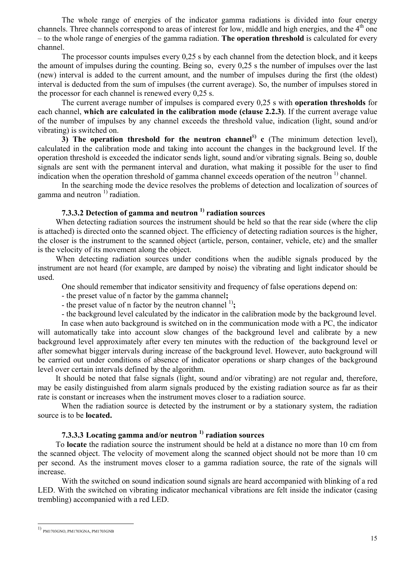The whole range of energies of the indicator gamma radiations is divided into four energy channels. Three channels correspond to areas of interest for low, middle and high energies, and the  $4<sup>th</sup>$  one – to the whole range of energies of the gamma radiation. **The operation threshold** is calculated for every channel.

The processor counts impulses every 0,25 s by each channel from the detection block, and it keeps the amount of impulses during the counting. Being so, every 0,25 s the number of impulses over the last (new) interval is added to the current amount, and the number of impulses during the first (the oldest) interval is deducted from the sum of impulses (the current average). So, the number of impulses stored in the processor for each channel is renewed every 0,25 s.

The current average number of impulses is compared every 0,25 s with **operation thresholds** for each channel, **which are calculated in the calibration mode (clause 2.2.3)**. If the current average value of the number of impulses by any channel exceeds the threshold value, indication (light, sound and/or vibrating) is switched on.

**3)** The operation threshold for the neutron channel<sup>[8](#page-14-0))</sup> c (The minimum detection level), calculated in the calibration mode and taking into account the changes in the background level. If the operation threshold is exceeded the indicator sends light, sound and/or vibrating signals. Being so, double signals are sent with the permanent interval and duration, what making it possible for the user to find indication when the operation threshold of gamma channel exceeds operation of the neutron  $\frac{1}{1}$  channel.

 In the searching mode the device resolves the problems of detection and localization of sources of gamma and neutron  $\frac{1}{1}$  radiation.

# **7.3.3.2 Detection of gamma and neutron 1) radiation sources**

When detecting radiation sources the instrument should be held so that the rear side (where the clip is attached) is directed onto the scanned object. The efficiency of detecting radiation sources is the higher, the closer is the instrument to the scanned object (article, person, container, vehicle, etc) and the smaller is the velocity of its movement along the object.

When detecting radiation sources under conditions when the audible signals produced by the instrument are not heard (for example, are damped by noise) the vibrating and light indicator should be used.

One should remember that indicator sensitivity and frequency of false operations depend on:

- the preset value of n factor by the gamma channel**;** 

- the preset value of n factor by the neutron channel  $\binom{1}{2}$ ;

- the background level calculated by the indicator in the calibration mode by the background level.

In case when auto background is switched on in the communication mode with a PC, the indicator will automatically take into account slow changes of the background level and calibrate by a new background level approximately after every ten minutes with the reduction of the background level or after somewhat bigger intervals during increase of the background level. However, auto background will be carried out under conditions of absence of indicator operations or sharp changes of the background level over certain intervals defined by the algorithm.

It should be noted that false signals (light, sound and/or vibrating) are not regular and, therefore, may be easily distinguished from alarm signals produced by the existing radiation source as far as their rate is constant or increases when the instrument moves closer to a radiation source.

When the radiation source is detected by the instrument or by a stationary system, the radiation source is to be **located.**

# **7.3.3.3 Locating gamma and/or neutron 1) radiation sources**

To **locate** the radiation source the instrument should be held at a distance no more than 10 cm from the scanned object. The velocity of movement along the scanned object should not be more than 10 cm per second. As the instrument moves closer to a gamma radiation source, the rate of the signals will increase.

With the switched on sound indication sound signals are heard accompanied with blinking of a red LED. With the switched on vibrating indicator mechanical vibrations are felt inside the indicator (casing trembling) accompanied with a red LED.

 $\overline{a}$ 

<span id="page-14-0"></span><sup>1)</sup> РМ1703GNO, РМ1703GNA, РМ1703GNB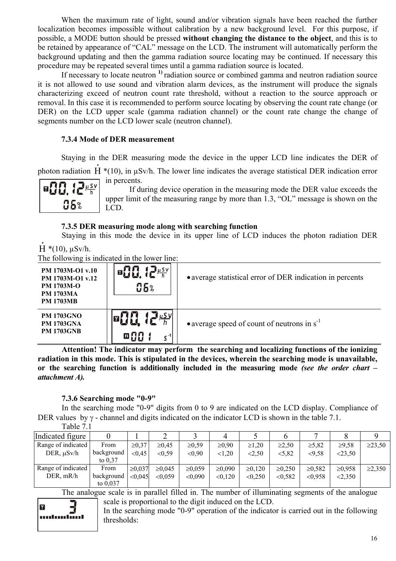When the maximum rate of light, sound and/or vibration signals have been reached the further localization becomes impossible without calibration by a new background level. For this purpose, if possible, a MODE button should be pressed **without changing the distance to the object**, and this is to be retained by appearance of "CAL" message on the LCD. The instrument will automatically perform the background updating and then the gamma radiation source locating may be continued. If necessary this procedure may be repeated several times until a gamma radiation source is located.

If necessary to locate neutron **1)** radiation source or combined gamma and neutron radiation source it is not allowed to use sound and vibration alarm devices, as the instrument will produce the signals characterizing exceed of neutron count rate threshold, without a reaction to the source approach or removal. In this case it is recommended to perform source locating by observing the count rate change (or DER) on the LCD upper scale (gamma radiation channel) or the count rate change the change of segments number on the LCD lower scale (neutron channel).

# <span id="page-15-0"></span>**7.3.4 Mode of DER measurement**

Staying in the DER measuring mode the device in the upper LCD line indicates the DER of •

photon radiation  $H^*(10)$ , in  $\mu Sv/h$ . The lower line indicates the average statistical DER indication error in percents.

 $\mu$  S V 06%

If during device operation in the measuring mode the DER value exceeds the upper limit of the measuring range by more than 1.3, "OL" message is shown on the LCD.

# <span id="page-15-1"></span>**7.3.5 DER measuring mode along with searching function**

Staying in this mode the device in its upper line of LCD induces the photon radiation DER

Н \*(10), µSv/h. •

The following is indicated in the lower line:

| PM 1703M-O1 v.10<br>PM 1703M-O1 v.12<br><b>PM 1703M-O</b><br><b>PM 1703MA</b><br><b>PM 1703MB</b> | U S V<br><b>95%</b>         | • average statistical error of DER indication in percents |
|---------------------------------------------------------------------------------------------------|-----------------------------|-----------------------------------------------------------|
| <b>PM 1703GNO</b><br><b>PM 1703GNA</b><br><b>PM 1703GNB</b>                                       | $\mu$ SV<br>68.<br>$c^{-1}$ | • average speed of count of neutrons in $s^{-1}$          |

**Attention! The indicator may perform the searching and localizing functions of the ionizing radiation in this mode. This is stipulated in the devices, wherein the searching mode is unavailable, or the searching function is additionally included in the measuring mode** *(see the order chart – attachment A).*

# <span id="page-15-2"></span>**7.3.6 Searching mode "0-9"**

In the searching mode "0-9" digits from 0 to 9 are indicated on the LCD display. Compliance of DER values by  $\gamma$  - channel and digits indicated on the indicator LCD is shown in the table 7.1.

| Table 7.1 |  |
|-----------|--|
|-----------|--|

| Indicated figure   |            |             | ∠            |             |              |             |              |             |             |              |
|--------------------|------------|-------------|--------------|-------------|--------------|-------------|--------------|-------------|-------------|--------------|
| Range of indicated | From       | $\ge 0.37$  | $\ge 0.45$   | $\ge 0.59$  | $\geq 0.90$  | $\geq 1,20$ | $\geq 2.50$  | $\ge 5,82$  | ≥9,58       | $\geq$ 23,50 |
| DER, $\mu Sv/h$    | background | < 0.45      | < 0.59       | < 0.90      | < 1,20       | < 2.50      | < 5,82       | <9,58       | < 23,50     |              |
|                    | to $0.37$  |             |              |             |              |             |              |             |             |              |
| Range of indicated | From       | $\ge 0.037$ | $\geq 0.045$ | $\ge 0.059$ | $\geq 0.090$ | $\ge 0.120$ | $\geq 0.250$ | $\ge 0.582$ | $\ge 0.958$ | $\geq 2,350$ |
| DER, mR/h          | background | < 0.045     | ${<}0.059$   | < 0.090     | < 0,120      | < 0.250     | < 0.582      | < 0.958     | 2,350       |              |
|                    | to $0.037$ |             |              |             |              |             |              |             |             |              |

The analogue scale is in parallel filled in. The number of illuminating segments of the analogue scale is proportional to the digit induced on the LCD.



In the searching mode "0-9" operation of the indicator is carried out in the following thresholds: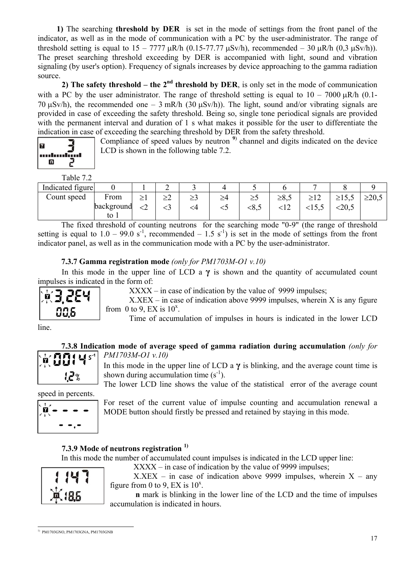**1)** The searching **threshold by DER** is set in the mode of settings from the front panel of the indicator, as well as in the mode of communication with a PC by the user-administrator. The range of threshold setting is equal to  $15 - 7777 \text{ uR/h}$  (0.15-77.77  $\mu$ Sv/h), recommended – 30  $\mu$ R/h (0.3  $\mu$ Sv/h)). The preset searching threshold exceeding by DER is accompanied with light, sound and vibration signaling (by user's option). Frequency of signals increases by device approaching to the gamma radiation source.

**2)** The safety threshold – the  $2<sup>nd</sup>$  threshold by DER, is only set in the mode of communication with a PC by the user administrator. The range of threshold setting is equal to  $10 - 7000 \mu R/h$  (0.1-70  $\mu$ Sv/h), the recommended one – 3 mR/h (30  $\mu$ Sv/h)). The light, sound and/or vibrating signals are provided in case of exceeding the safety threshold. Being so, single tone periodical signals are provided with the permanent interval and duration of 1 s what makes it possible for the user to differentiate the indication in case of exceeding the searching threshold by DER from the safety threshold.



Compliance of speed values by neutron<sup>[9](#page-16-4)</sup> channel and digits indicated on the device LCD is shown in the following table 7.2.

Table 7.2

| Indicated figure |            |   | ⌒<br>∸ |     |    |     |                              |                        |             |
|------------------|------------|---|--------|-----|----|-----|------------------------------|------------------------|-------------|
| Count speed      | From       |   | 24     | ر ے | ≥4 | ر∠  | $\sim$ $\circ$<br>$\leq 0.5$ | $\leq$ $\cup$ , $\cup$ | $\geq 20,5$ |
|                  | packground | ∽ | ◡      |     | w  | <8, | 1 <sub>2</sub>               | $\leq$ U.J             |             |
|                  | to 1       |   |        |     |    |     |                              |                        |             |

The fixed threshold of counting neutrons for the searching mode "0-9" (the range of threshold setting is equal to  $1.0 - 99.0$  s<sup>-1</sup>, recommended –  $1.5$  s<sup>-1</sup>) is set in the mode of settings from the front indicator panel, as well as in the communication mode with a PC by the user-administrator.

# <span id="page-16-0"></span>**7.3.7 Gamma registration mode** *(only for РМ1703М-О1 v.10)*

In this mode in the upper line of LCD a  $\gamma$  is shown and the quantity of accumulated count impulses is indicated in the form of:



 $XXXX - in case of indication by the value of 9999$  impulses;

 $X.XEX - in case of indication above 9999$  impulses, wherein X is any figure from 0 to 9, EX is  $10^x$ .

Time of accumulation of impulses in hours is indicated in the lower LCD

line.

#### <span id="page-16-1"></span>**7.3.8 Indication mode of average speed of gamma radiation during accumulation** *(only for РМ1703М-О1 v.10)*



In this mode in the upper line of LCD a  $\gamma$  is blinking, and the average count time is shown during accumulation time  $(s^{-1})$ .

The lower LCD line shows the value of the statistical error of the average count

speed in percents.

$$
\left|\frac{\mathbf{u}^{\mathbf{r}}_{\mathbf{r}}}{\mathbf{u}^{\mathbf{r}}_{\mathbf{r}}}\right|=\frac{1}{\mathbf{u}^{\mathbf{r}}_{\mathbf{r}}}
$$

For reset of the current value of impulse counting and accumulation renewal a MODE button should firstly be pressed and retained by staying in this mode.

# <span id="page-16-2"></span>**7.3.9 Mode of neutrons registration 1)**

In this mode the number of accumulated count impulses is indicated in the LCD upper line:



 $XXXX - in case of indication by the value of 9999$  impulses;

 $X.XEX - in case of indication above 9999 impulses, wherein  $X - any$$ figure from 0 to 9, EX is  $10^x$ .

**n** mark is blinking in the lower line of the LCD and the time of impulses accumulation is indicated in hours.

<span id="page-16-4"></span><span id="page-16-3"></span> <sup>1)</sup> РМ1703GNO, РМ1703GNA, РМ1703GNB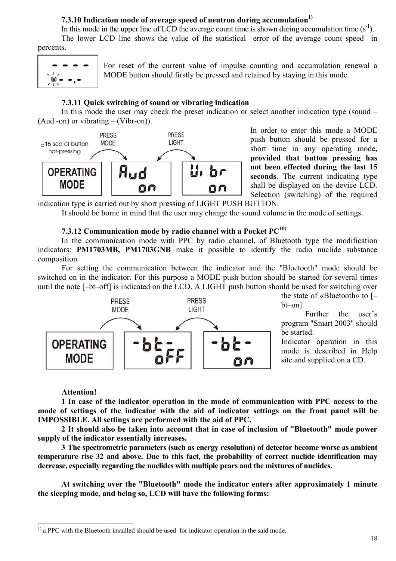# **7.3.10 Indication mode of average speed of neutron during accumulation1)**

In this mode in the upper line of LCD the average count time is shown during accumulation time  $(s^{-1})$ . The lower LCD line shows the value of the statistical error of the average count speed in percents.

$$
\begin{array}{c}\n\bullet & \bullet & \bullet & \bullet \\
\hline\n\frac{\partial}{\partial t} \stackrel{\circ}{\bullet} & \bullet & \bullet \\
\hline\n\end{array}
$$

For reset of the current value of impulse counting and accumulation renewal a MODE button should firstly be pressed and retained by staying in this mode.

### <span id="page-17-0"></span>**7.3.11 Quick switching of sound or vibrating indication**

In this mode the user may check the preset indication or select another indication type (sound – (Aud -on) or vibrating – (Vibr-on)).



In order to enter this mode a MODE push button should be pressed for a short time in any operating mode**, provided that button pressing has not been effected during the last 15 seconds**. The current indicating type shall be displayed on the device LCD. Selection (switching) of the required

indication type is carried out by short pressing of LIGHT PUSH BUTTON.

It should be borne in mind that the user may change the sound volume in the mode of settings.

## <span id="page-17-1"></span>**7.3.12 Communication mode by radio channel with a Pocket PC[10\)](#page-17-2)**

In the communication mode with PPC by radio channel, of Bluetooth type the modification indicators: **РМ1703МВ, РМ1703GNB** make it possible to identify the radio nuclide substance composition.

For setting the communication between the indicator and the "Bluetooth" mode should be switched on in the indicator. For this purpose a MODE push button should be started for several times until the note [–bt–off] is indicated on the LCD. A LIGHT push button should be used for switching over



the state of «Bluetooth» to [– bt–on].

Further the user's program "Smart 2003" should be started.

Indicator operation in this mode is described in Help site and supplied on a CD.

#### **Attention!**

**1 In case of the indicator operation in the mode of communication with РРС access to the mode of settings of the indicator with the aid of indicator settings on the front panel will be IMPOSSIBLE. All settings are performed with the aid of РРС.** 

**2 It should also be taken into account that in case of inclusion of "Bluetooth" mode power supply of the indicator essentially increases.** 

**3 The spectrometric parameters (such as energy resolution) of detector become worse as ambient temperature rise 32 and above. Due to this fact, the probability of correct nuclide identification may decrease, especially regarding the nuclides with multiple pears and the mixtures of nuclides.** 

**At switching over the "Bluetooth" mode the indicator enters after approximately 1 minute the sleeping mode, and being so, LCD will have the following forms:**

<span id="page-17-2"></span> $<sup>1</sup>$  a PPC with the Bluetooth installed should be used for indicator operation in the said mode.</sup>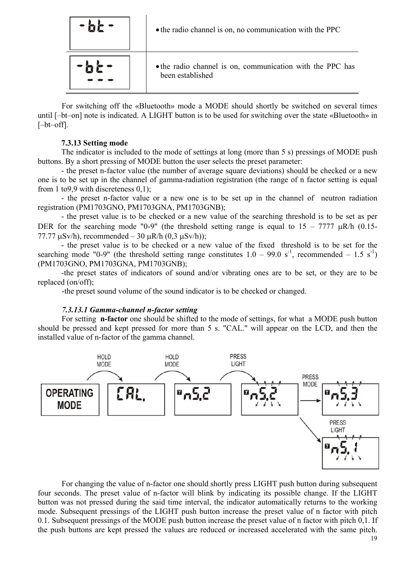| • the radio channel is on, no communication with the PPC                      |
|-------------------------------------------------------------------------------|
| • the radio channel is on, communication with the PPC has<br>been established |

For switching off the «Bluetooth» mode a MODE should shortly be switched on several times until [–bt–on] note is indicated. A LIGHT button is to be used for switching over the state «Bluetooth» in [–bt–off].

### <span id="page-18-0"></span>**7.3.13 Setting mode**

The indicator is included to the mode of settings at long (more than 5 s) pressings of MODE push buttons. By a short pressing of MODE button the user selects the preset parameter:

- the preset n-factor value (the number of average square deviations) should be checked or a new one is to be set up in the channel of gamma-radiation registration (the range of n factor setting is equal from 1 to9,9 with discreteness 0,1);

- the preset n-factor value or a new one is to be set up in the channel of neutron radiation registration (РМ1703GNО, РМ1703GNА, РМ1703GNВ);

- the preset value is to be checked or a new value of the searching threshold is to be set as per DER for the searching mode "0-9" (the threshold setting range is equal to  $15 - 7777 \mu R/h$  (0.15-77.77  $\mu$ Sv/h), recommended – 30  $\mu$ R/h (0,3  $\mu$ Sv/h));

- the preset value is to be checked or a new value of the fixed threshold is to be set for the searching mode "0-9" (the threshold setting range constitutes  $1.0 - 99.0 \text{ s}^{-1}$ , recommended – 1.5 s<sup>-1</sup>) (РМ1703GNО, РМ1703GNА, РМ1703GNВ);

-the preset states of indicators of sound and/or vibrating ones are to be set, or they are to be replaced (on/off);

-the preset sound volume of the sound indicator is to be checked or changed.

#### <span id="page-18-1"></span>*7.3.13.1 Gamma-channel n-factor setting*

For setting **n-factor** one should be shifted to the mode of settings, for what a MODE push button should be pressed and kept pressed for more than 5 s. "CAL." will appear on the LCD, and then the installed value of n-factor of the gamma channel.



For changing the value of n-factor one should shortly press LIGHT push button during subsequent four seconds. The preset value of n-factor will blink by indicating its possible change. If the LIGHT button was not pressed during the said time interval, the indicator automatically returns to the working mode. Subsequent pressings of the LIGHT push button increase the preset value of n factor with pitch 0.1. Subsequent pressings of the MODE push button increase the preset value of n factor with pitch 0,1. If the push buttons are kept pressed the values are reduced or increased accelerated with the same pitch.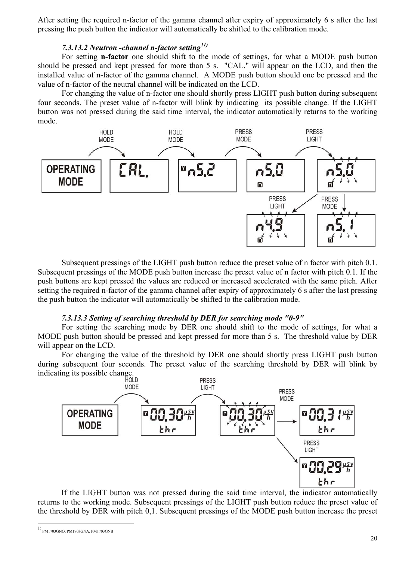After setting the required n-factor of the gamma channel after expiry of approximately 6 s after the last pressing the push button the indicator will automatically be shifted to the calibration mode.

# <span id="page-19-0"></span>*7.3.13.2 Neutron -channel n-factor setting[11\)](#page-19-2)*

For setting **n-factor** one should shift to the mode of settings, for what a MODE push button should be pressed and kept pressed for more than 5 s. "CAL." will appear on the LCD, and then the installed value of n-factor of the gamma channel. A MODE push button should one be pressed and the value of n-factor of the neutral channel will be indicated on the LCD.

For changing the value of n-factor one should shortly press LIGHT push button during subsequent four seconds. The preset value of n-factor will blink by indicating its possible change. If the LIGHT button was not pressed during the said time interval, the indicator automatically returns to the working mode.



Subsequent pressings of the LIGHT push button reduce the preset value of n factor with pitch 0.1. Subsequent pressings of the MODE push button increase the preset value of n factor with pitch 0.1. If the push buttons are kept pressed the values are reduced or increased accelerated with the same pitch. After setting the required n-factor of the gamma channel after expiry of approximately 6 s after the last pressing the push button the indicator will automatically be shifted to the calibration mode.

#### <span id="page-19-1"></span>*7.3.13.3 Setting of searching threshold by DER for searching mode "0-9"*

For setting the searching mode by DER one should shift to the mode of settings, for what a MODE push button should be pressed and kept pressed for more than 5 s. The threshold value by DER will appear on the LCD.

For changing the value of the threshold by DER one should shortly press LIGHT push button during subsequent four seconds. The preset value of the searching threshold by DER will blink by indicating its possible change.



If the LIGHT button was not pressed during the said time interval, the indicator automatically returns to the working mode. Subsequent pressings of the LIGHT push button reduce the preset value of the threshold by DER with pitch 0,1. Subsequent pressings of the MODE push button increase the preset

<span id="page-19-2"></span> <sup>1)</sup> РМ1703GNO, РМ1703GNA, РМ1703GNB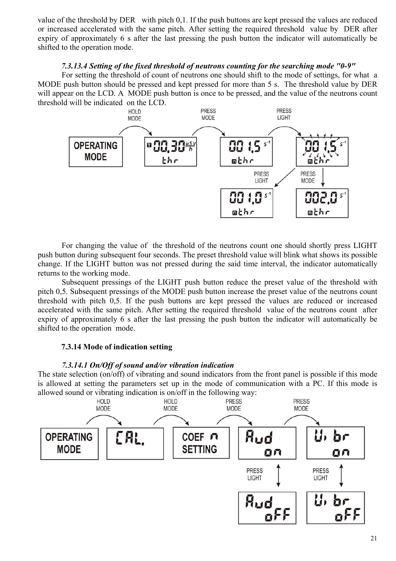value of the threshold by DER with pitch 0,1. If the push buttons are kept pressed the values are reduced or increased accelerated with the same pitch. After setting the required threshold value by DER after expiry of approximately 6 s after the last pressing the push button the indicator will automatically be shifted to the operation mode.

# <span id="page-20-0"></span>*7.3.13.4 Setting of the fixed threshold of neutrons counting for the searching mode "0-9"*

For setting the threshold of count of neutrons one should shift to the mode of settings, for what a MODE push button should be pressed and kept pressed for more than 5 s. The threshold value by DER will appear on the LCD. A MODE push button is once to be pressed, and the value of the neutrons count threshold will be indicated on the LCD.



For changing the value of the threshold of the neutrons count one should shortly press LIGHT push button during subsequent four seconds. The preset threshold value will blink what shows its possible change. If the LIGHT button was not pressed during the said time interval, the indicator automatically returns to the working mode.

Subsequent pressings of the LIGHT push button reduce the preset value of the threshold with pitch 0,5. Subsequent pressings of the MODE push button increase the preset value of the neutrons count threshold with pitch 0,5. If the push buttons are kept pressed the values are reduced or increased accelerated with the same pitch. After setting the required threshold value of the neutrons count after expiry of approximately 6 s after the last pressing the push button the indicator will automatically be shifted to the operation mode.

# <span id="page-20-1"></span>**7.3.14 Mode of indication setting**

# <span id="page-20-2"></span>*7.3.14.1 On/Off of sound and/or vibration indication*

The state selection (on/off) of vibrating and sound indicators from the front panel is possible if this mode is allowed at setting the parameters set up in the mode of communication with a PC. If this mode is allowed sound or vibrating indication is on/off in the following way:

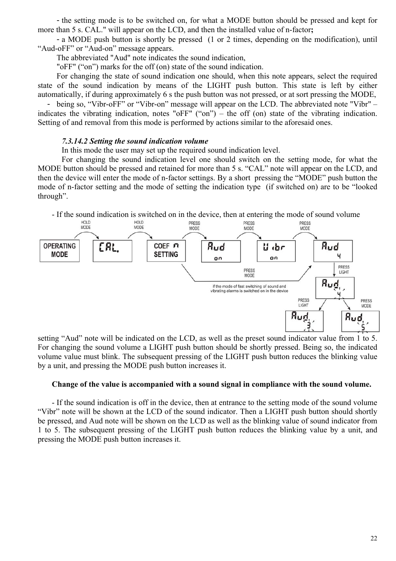- the setting mode is to be switched on, for what a MODE button should be pressed and kept for more than 5 s. CAL." will appear on the LCD, and then the installed value of n-factor**;**

- a MODE push button is shortly be pressed (1 or 2 times, depending on the modification), until "Aud-oFF" or "Aud-on" message appears.

The abbreviated "Aud" note indicates the sound indication,

"oFF" ("on") marks for the off (on) state of the sound indication.

For changing the state of sound indication one should, when this note appears, select the required state of the sound indication by means of the LIGHT push button. This state is left by either automatically, if during approximately 6 s the push button was not pressed, or at sort pressing the MODE,

- being so, "Vibr-oFF" or "Vibr-on" message will appear on the LCD. The abbreviated note "Vibr" – indicates the vibrating indication, notes "oFF" ("on") – the off (on) state of the vibrating indication. Setting of and removal from this mode is performed by actions similar to the aforesaid ones.

#### <span id="page-21-0"></span>*7.3.14.2 Setting the sound indication volume*

In this mode the user may set up the required sound indication level.

For changing the sound indication level one should switch on the setting mode, for what the MODE button should be pressed and retained for more than 5 s. "CAL" note will appear on the LCD, and then the device will enter the mode of n-factor settings. By a short pressing the "MODE" push button the mode of n-factor setting and the mode of setting the indication type (if switched on) are to be "looked through".



setting "Aud" note will be indicated on the LCD, as well as the preset sound indicator value from 1 to 5. For changing the sound volume a LIGHT push button should be shortly pressed. Being so, the indicated volume value must blink. The subsequent pressing of the LIGHT push button reduces the blinking value by a unit, and pressing the MODE push button increases it.

### **Change of the value is accompanied with a sound signal in compliance with the sound volume.**

- If the sound indication is off in the device, then at entrance to the setting mode of the sound volume "Vibr" note will be shown at the LCD of the sound indicator. Then a LIGHT push button should shortly be pressed, and Aud note will be shown on the LCD as well as the blinking value of sound indicator from 1 to 5. The subsequent pressing of the LIGHT push button reduces the blinking value by a unit, and pressing the MODE push button increases it.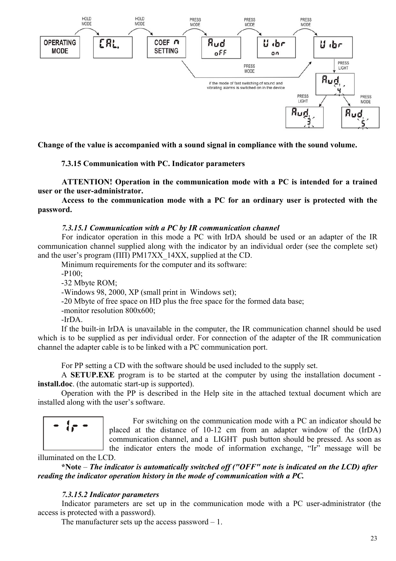

**Change of the value is accompanied with a sound signal in compliance with the sound volume.** 

### **7.3.15 Communication with PC. Indicator parameters**

**ATTENTION! Operation in the communication mode with a PC is intended for a trained user or the user-administrator.** 

**Access to the communication mode with a PC for an ordinary user is protected with the password.** 

#### *7.3.15.1 Communication with a PC by IR communication channel*

For indicator operation in this mode a PC with IrDA should be used or an adapter of the IR communication channel supplied along with the indicator by an individual order (see the complete set) and the user's program (ПП) PM17XX 14XX, supplied at the CD.

Minimum requirements for the computer and its software:

-Р100;

-32 Мbyte ROM;

-Windows 98, 2000, XP (small print in Windows set);

-20 Мbyte of free space on HD plus the free space for the formed data base;

-monitor resolution 800х600;

 $-IrDA$ 

If the built-in IrDA is unavailable in the computer, the IR communication channel should be used which is to be supplied as per individual order. For connection of the adapter of the IR communication channel the adapter cable is to be linked with a PC communication port.

For PP setting a CD with the software should be used included to the supply set.

A **SETUP.EXE** program is to be started at the computer by using the installation document **install.doc**. (the automatic start-up is supported).

Operation with the PP is described in thе Help site in the attached textual document which are installed along with the user's software.

$$
= \{p \in
$$

For switching on the communication mode with a PC an indicator should be placed at the distance of 10-12 cm from an adapter window of the (IrDA) communication channel, and a LIGHT push button should be pressed. As soon as the indicator enters the mode of information exchange, "Ir" message will be

illuminated on the LCD.

**\*Note** – *The indicator is automatically switched off ("OFF" note is indicated on the LCD) after reading the indicator operation history in the mode of communication with a PC.* 

#### *7.3.15.2 Indicator parameters*

Indicator parameters are set up in the communication mode with a PC user-administrator (the access is protected with a password).

The manufacturer sets up the access password – 1.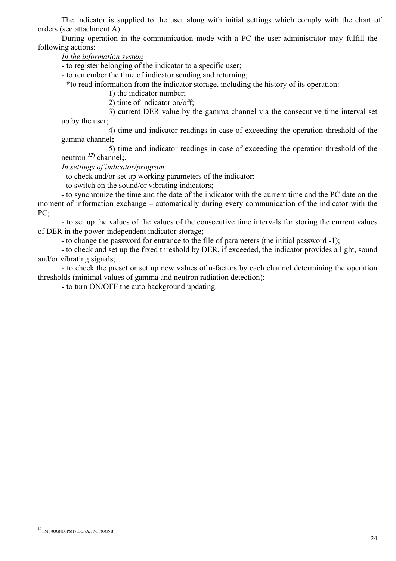The indicator is supplied to the user along with initial settings which comply with the chart of orders (see attachment A).

During operation in the communication mode with a PC the user-administrator may fulfill the following actions:

*In the information system*

- to register belonging of the indicator to a specific user;

- to remember the time of indicator sending and returning;

- **\***to read information from the indicator storage, including the history of its operation:

1) the indicator number;

2) time of indicator on/off;

3) current DER value by the gamma channel via the consecutive time interval set up by the user;

4) time and indicator readings in case of exceeding the operation threshold of the gamma channel**;** 

5) time and indicator readings in case of exceeding the operation threshold of the neutron *[12](#page-23-0)*) channel**;**.

*In settings of indicator/program*

- to check and/or set up working parameters of the indicator:

- to switch on the sound/or vibrating indicators;

- to synchronize the time and the date of the indicator with the current time and the PC date on the moment of information exchange – automatically during every communication of the indicator with the PC;

- to set up the values of the values of the consecutive time intervals for storing the current values of DER in the power-independent indicator storage;

- to change the password for entrance to the file of parameters (the initial password -1);

- to check and set up the fixed threshold by DER, if exceeded, the indicator provides a light, sound and/or vibrating signals;

- to check the preset or set up new values of n-factors by each channel determining the operation thresholds (minimal values of gamma and neutron radiation detection);

- to turn ON/OFF the auto background updating.

 $\overline{a}$ 

<span id="page-23-0"></span><sup>1)</sup> РМ1703GNO, РМ1703GNA, РМ1703GNB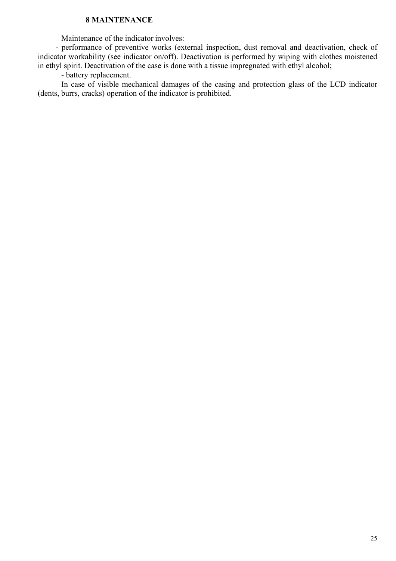# <span id="page-24-0"></span> **8 MAINTENANCE**

Maintenance of the indicator involves:

- performance of preventive works (external inspection, dust removal and deactivation, check of indicator workability (see indicator on/off). Deactivation is performed by wiping with clothes moistened in ethyl spirit. Deactivation of the case is done with a tissue impregnated with ethyl alcohol;

- battery replacement.

In case of visible mechanical damages of the casing and protection glass of the LCD indicator (dents, burrs, cracks) operation of the indicator is prohibited.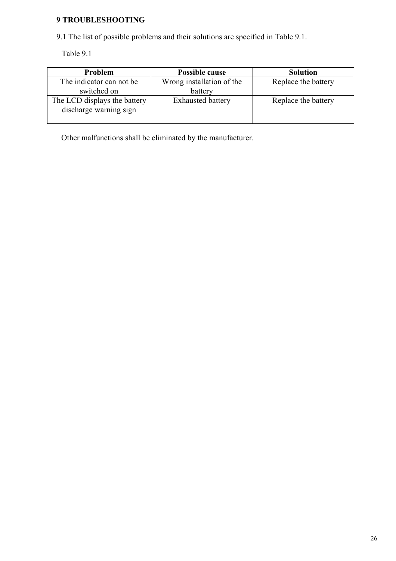# <span id="page-25-0"></span>**9 TROUBLESHOOTING**

9.1 The list of possible problems and their solutions are specified in Table 9.1.

Table 9.1

| Problem                                                | Possible cause            | <b>Solution</b>     |  |  |
|--------------------------------------------------------|---------------------------|---------------------|--|--|
| The indicator can not be                               | Wrong installation of the | Replace the battery |  |  |
| switched on                                            | battery                   |                     |  |  |
| The LCD displays the battery<br>discharge warning sign | <b>Exhausted battery</b>  | Replace the battery |  |  |

Other malfunctions shall be eliminated by the manufacturer.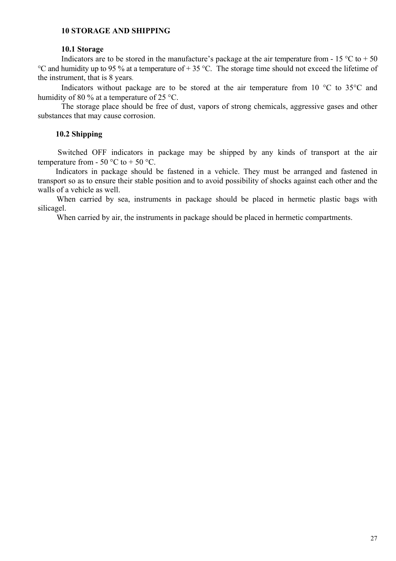# <span id="page-26-0"></span>**10 STORAGE AND SHIPPING**

#### **10.1 Storage**

Indicators are to be stored in the manufacture's package at the air temperature from - 15  $\degree$ C to + 50 °C and humidity up to 95 % at a temperature of + 35 °C. The storage time should not exceed the lifetime of the instrument, that is 8 years.

Indicators without package are to be stored at the air temperature from 10 °C to 35°C and humidity of 80 % at a temperature of 25 °C.

The storage place should be free of dust, vapors of strong chemicals, aggressive gases and other substances that may cause corrosion.

### **10.2 Shipping**

 Switched OFF indicators in package may be shipped by any kinds of transport at the air temperature from - 50  $\degree$ C to + 50  $\degree$ C.

Indicators in package should be fastened in a vehicle. They must be arranged and fastened in transport so as to ensure their stable position and to avoid possibility of shocks against each other and the walls of a vehicle as well.

When carried by sea, instruments in package should be placed in hermetic plastic bags with silicagel.

When carried by air, the instruments in package should be placed in hermetic compartments.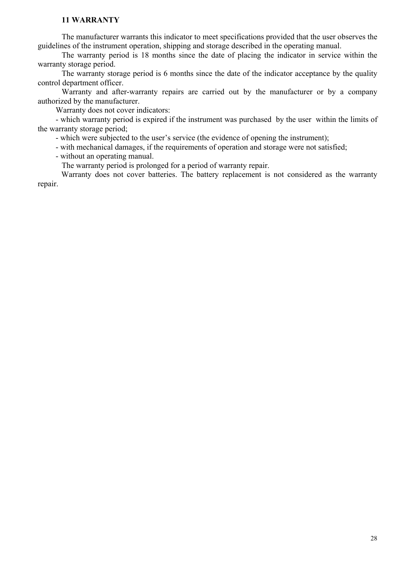# <span id="page-27-0"></span>**11 WARRANTY**

The manufacturer warrants this indicator to meet specifications provided that the user observes the guidelines of the instrument operation, shipping and storage described in the operating manual.

The warranty period is 18 months since the date of placing the indicator in service within the warranty storage period.

The warranty storage period is 6 months since the date of the indicator acceptance by the quality control department officer.

Warranty and after-warranty repairs are carried out by the manufacturer or by a company authorized by the manufacturer.

Warranty does not cover indicators:

- which warranty period is expired if the instrument was purchased by the user within the limits of the warranty storage period;

- which were subjected to the user's service (the evidence of opening the instrument);

- with mechanical damages, if the requirements of operation and storage were not satisfied;

- without an operating manual.

The warranty period is prolonged for a period of warranty repair.

Warranty does not cover batteries. The battery replacement is not considered as the warranty repair.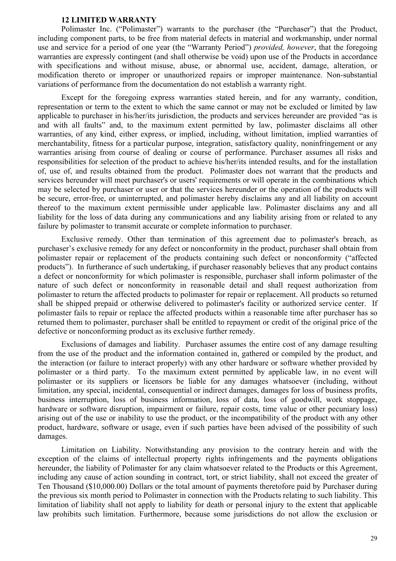#### **12 LIMITED WARRANTY**

Polimaster Inc. ("Polimaster") warrants to the purchaser (the "Purchaser") that the Product, including component parts, to be free from material defects in material and workmanship, under normal use and service for a period of one year (the "Warranty Period") *provided, however*, that the foregoing warranties are expressly contingent (and shall otherwise be void) upon use of the Products in accordance with specifications and without misuse, abuse, or abnormal use, accident, damage, alteration, or modification thereto or improper or unauthorized repairs or improper maintenance. Non-substantial variations of performance from the documentation do not establish a warranty right.

Except for the foregoing express warranties stated herein, and for any warranty, condition, representation or term to the extent to which the same cannot or may not be excluded or limited by law applicable to purchaser in his/her/its jurisdiction, the products and services hereunder are provided "as is and with all faults" and, to the maximum extent permitted by law, polimaster disclaims all other warranties, of any kind, either express, or implied, including, without limitation, implied warranties of merchantability, fitness for a particular purpose, integration, satisfactory quality, noninfringement or any warranties arising from course of dealing or course of performance. Purchaser assumes all risks and responsibilities for selection of the product to achieve his/her/its intended results, and for the installation of, use of, and results obtained from the product. Polimaster does not warrant that the products and services hereunder will meet purchaser's or users' requirements or will operate in the combinations which may be selected by purchaser or user or that the services hereunder or the operation of the products will be secure, error-free, or uninterrupted, and polimaster hereby disclaims any and all liability on account thereof to the maximum extent permissible under applicable law. Polimaster disclaims any and all liability for the loss of data during any communications and any liability arising from or related to any failure by polimaster to transmit accurate or complete information to purchaser.

Exclusive remedy. Other than termination of this agreement due to polimaster's breach, as purchaser's exclusive remedy for any defect or nonconformity in the product, purchaser shall obtain from polimaster repair or replacement of the products containing such defect or nonconformity ("affected products"). In furtherance of such undertaking, if purchaser reasonably believes that any product contains a defect or nonconformity for which polimaster is responsible, purchaser shall inform polimaster of the nature of such defect or nonconformity in reasonable detail and shall request authorization from polimaster to return the affected products to polimaster for repair or replacement. All products so returned shall be shipped prepaid or otherwise delivered to polimaster's facility or authorized service center. If polimaster fails to repair or replace the affected products within a reasonable time after purchaser has so returned them to polimaster, purchaser shall be entitled to repayment or credit of the original price of the defective or nonconforming product as its exclusive further remedy.

Exclusions of damages and liability. Purchaser assumes the entire cost of any damage resulting from the use of the product and the information contained in, gathered or compiled by the product, and the interaction (or failure to interact properly) with any other hardware or software whether provided by polimaster or a third party. To the maximum extent permitted by applicable law, in no event will polimaster or its suppliers or licensors be liable for any damages whatsoever (including, without limitation, any special, incidental, consequential or indirect damages, damages for loss of business profits, business interruption, loss of business information, loss of data, loss of goodwill, work stoppage, hardware or software disruption, impairment or failure, repair costs, time value or other pecuniary loss) arising out of the use or inability to use the product, or the incompatibility of the product with any other product, hardware, software or usage, even if such parties have been advised of the possibility of such damages.

Limitation on Liability. Notwithstanding any provision to the contrary herein and with the exception of the claims of intellectual property rights infringements and the payments obligations hereunder, the liability of Polimaster for any claim whatsoever related to the Products or this Agreement, including any cause of action sounding in contract, tort, or strict liability, shall not exceed the greater of Ten Thousand (\$10,000.00) Dollars or the total amount of payments theretofore paid by Purchaser during the previous six month period to Polimaster in connection with the Products relating to such liability. This limitation of liability shall not apply to liability for death or personal injury to the extent that applicable law prohibits such limitation. Furthermore, because some jurisdictions do not allow the exclusion or